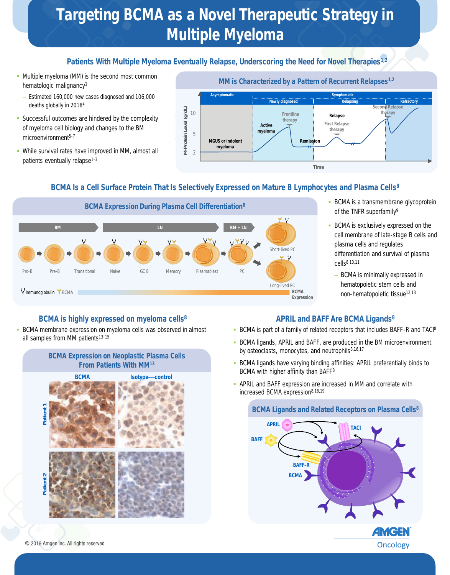# Targeting BCMA as a Novel Therapeutic Strategy in Multiple Myeloma

# Patients With Multiple Myeloma Eventually Relapse, Underscoring the Need for Novel Therapies<sup>1,2</sup>

- **Multiple myeloma (MM) is the second most common** hematologic malignancy<sup>3</sup>
	- Estimated 160,000 new cases diagnosed and 106,000 deaths globally in 2018<sup>4</sup>
- **EXECCESS STAGE SHOW STAGES 2** Successful outcomes are hindered by the complexity of myeloma cell biology and changes to the BM microenvironment<sup>5-7</sup>
- **.** While survival rates have improved in MM, almost all patients eventually relapse<sup>1-3</sup>



# BCMA Is a Cell Surface Protein That Is Selectively Expressed on Mature B Lymphocytes and Plasma Cells<sup>8</sup>



- **· BCMA is a transmembrane glycoprotein** of the TNFR superfamily<sup>9</sup>
- **BCMA is exclusively expressed on the** cell membrane of late-stage B cells and plasma cells and regulates differentiation and survival of plasma cells8,10,11
	- BCMA is minimally expressed in hematopoietic stem cells and non-hematopoietic tissue<sup>12,13</sup>

## BCMA is highly expressed on myeloma cells<sup>8</sup>

**EXTERNA** membrane expression on myeloma cells was observed in almost all samples from MM patients<sup>13-15</sup>

#### BCMA Expression on Neoplastic Plasma Cells From Patients With MM<sup>13</sup>



## APRIL and BAFF Are BCMA Ligands<sup>8</sup>

- **BCMA is part of a family of related receptors that includes BAFF-R and TACI8**
- **BCMA ligands, APRIL and BAFF, are produced in the BM microenvironment** by osteoclasts, monocytes, and neutrophils<sup>8,16,17</sup>
- BCMA ligands have varying binding affinities: APRIL preferentially binds to BCMA with higher affinity than BAFF<sup>8</sup>
- **APRIL and BAFF expression are increased in MM and correlate with** increased BCMA expression<sup>8,18,19</sup>